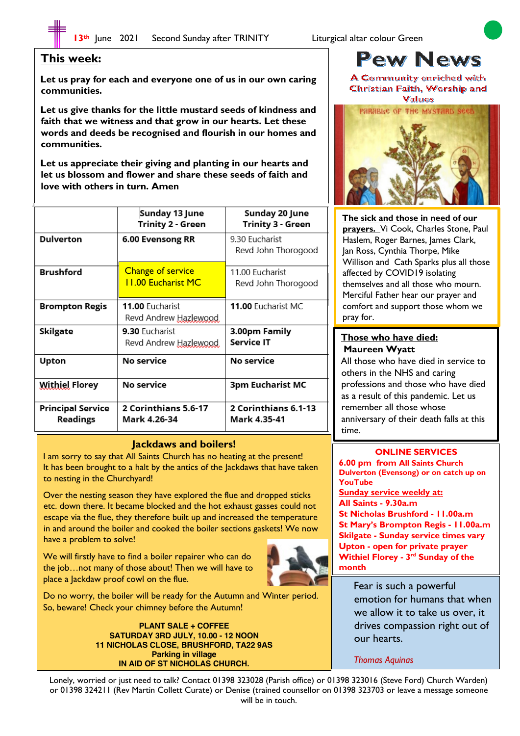# **This week:**

 $\overline{\phantom{a}}$  $\overline{\phantom{a}}$  $\overline{\phantom{a}}$  $\overline{\phantom{a}}$  $\overline{\phantom{a}}$  $\overline{\phantom{a}}$  $\overline{\phantom{a}}$  $\overline{\phantom{a}}$  $\overline{\phantom{a}}$ 

 $\overline{\phantom{a}}$ 

**Let us pray for each and everyone one of us in our own caring communities.**

**Let us give thanks for the little mustard seeds of kindness and faith that we witness and that grow in our hearts. Let these words and deeds be recognised and flourish in our homes and communities.** 

**Let us appreciate their giving and planting in our hearts and let us blossom and flower and share these seeds of faith and love with others in turn. Amen**

|                                      | Sunday 13 June<br><b>Trinity 2 - Green</b>            | Sunday 20 June<br>Trinity 3 - Green    |
|--------------------------------------|-------------------------------------------------------|----------------------------------------|
| <b>Dulverton</b>                     | 6.00 Evensong RR                                      | 9.30 Eucharist<br>Revd John Thorogood  |
| <b>Brushford</b>                     | <b>Change of service</b><br><b>11.00 Eucharist MC</b> | 11.00 Eucharist<br>Revd John Thorogood |
| <b>Brompton Regis</b>                | 11.00 Eucharist<br>Revd Andrew Hazlewood              | 11.00 Eucharist MC                     |
| Skilgate                             | 9.30 Fucharist<br>Revd Andrew Hazlewood               | 3.00pm Family<br>Service IT            |
| Upton                                | No service                                            | No service                             |
| <b>Withiel Florey</b>                | No service                                            | 3pm Eucharist MC                       |
| <b>Principal Service</b><br>Readings | 2 Corinthians 5.6-17<br>Mark 4.26-34                  | 2 Corinthians 6.1-13<br>Mark 4.35-41   |

#### **Jackdaws and boilers!**

I am sorry to say that All Saints Church has no heating at the present! It has been brought to a halt by the antics of the Jackdaws that have taken to nesting in the Churchyard!

Over the nesting season they have explored the flue and dropped sticks etc. down there. It became blocked and the hot exhaust gasses could not escape via the flue, they therefore built up and increased the temperature in and around the boiler and cooked the boiler sections gaskets! We now have a problem to solve!

We will firstly have to find a boiler repairer who can do the job…not many of those about! Then we will have to place a Jackdaw proof cowl on the flue.



Do no worry, the boiler will be ready for the Autumn and Winter period. So, beware! Check your chimney before the Autumn!

> **PLANT SALE + COFFEE SATURDAY 3RD JULY, 10.00 - 12 NOON 11 NICHOLAS CLOSE, BRUSHFORD, TA22 9AS Parking in village IN AID OF ST NICHOLAS CHURCH.**

# **Pew News**

A Community enriched with Christian Faith, Worship and



**The sick and those in need of our prayers.** Vi Cook, Charles Stone, Paul Haslem, Roger Barnes, James Clark, Jan Ross, Cynthia Thorpe, Mike Willison and Cath Sparks plus all those affected by COVID19 isolating themselves and all those who mourn. Merciful Father hear our prayer and comfort and support those whom we pray for.

#### **Those who have died: Maureen Wyatt**

All those who have died in service to others in the NHS and caring professions and those who have died as a result of this pandemic. Let us remember all those whose anniversary of their death falls at this time.

## **ONLINE SERVICES**

**6.00 pm from All Saints Church Dulverton (Evensong) or on catch up on YouTube Sunday service weekly at: All Saints - 9.30a.m St Nicholas Brushford - 11.00a.m St Mary's Brompton Regis - 11.00a.m Skilgate - Sunday service times vary Upton - open for private prayer Withiel Florey - 3rd Sunday of the month**

Fear is such a powerful emotion for humans that when we allow it to take us over, it drives compassion right out of our hearts.

*Thomas Aquinas*

Lonely, worried or just need to talk? Contact 01398 323028 (Parish office) or 01398 323016 (Steve Ford) Church Warden) or 01398 324211 (Rev Martin Collett Curate) or Denise (trained counsellor on 01398 323703 or leave a message someone will be in touch.